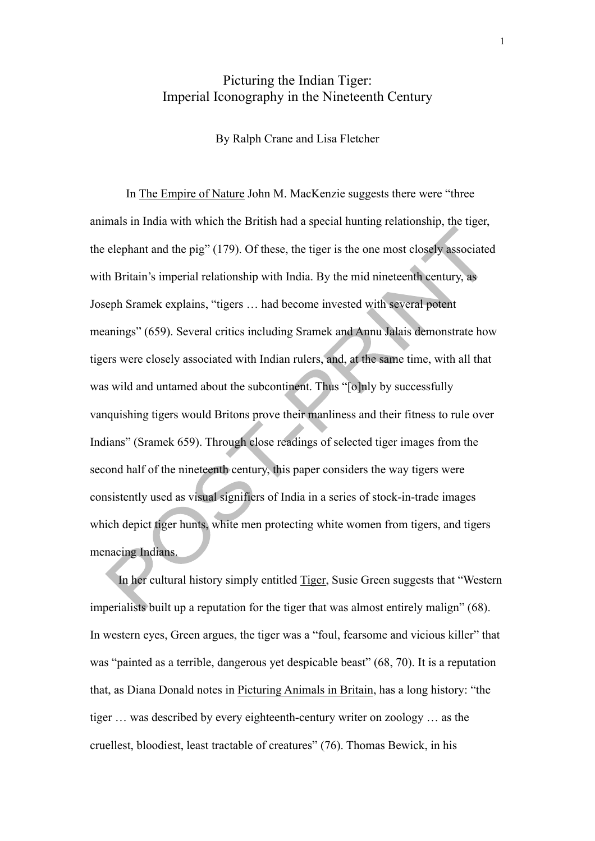## Picturing the Indian Tiger: Imperial Iconography in the Nineteenth Century

By Ralph Crane and Lisa Fletcher

In The Empire of Nature John M. MacKenzie suggests there were "three animals in India with which the British had a special hunting relationship, the tiger, the elephant and the pig" (179). Of these, the tiger is the one most closely associated with Britain's imperial relationship with India. By the mid nineteenth century, as Joseph Sramek explains, "tigers … had become invested with several potent meanings" (659). Several critics including Sramek and Annu Jalais demonstrate how tigers were closely associated with Indian rulers, and, at the same time, with all that was wild and untamed about the subcontinent. Thus "[o]nly by successfully vanquishing tigers would Britons prove their manliness and their fitness to rule over Indians" (Sramek 659). Through close readings of selected tiger images from the second half of the nineteenth century, this paper considers the way tigers were consistently used as visual signifiers of India in a series of stock-in-trade images which depict tiger hunts, white men protecting white women from tigers, and tigers menacing Indians.

In her cultural history simply entitled Tiger, Susie Green suggests that "Western imperialists built up a reputation for the tiger that was almost entirely malign" (68). In western eyes, Green argues, the tiger was a "foul, fearsome and vicious killer" that was "painted as a terrible, dangerous yet despicable beast" (68, 70). It is a reputation that, as Diana Donald notes in Picturing Animals in Britain, has a long history: "the tiger … was described by every eighteenth-century writer on zoology … as the cruellest, bloodiest, least tractable of creatures" (76). Thomas Bewick, in his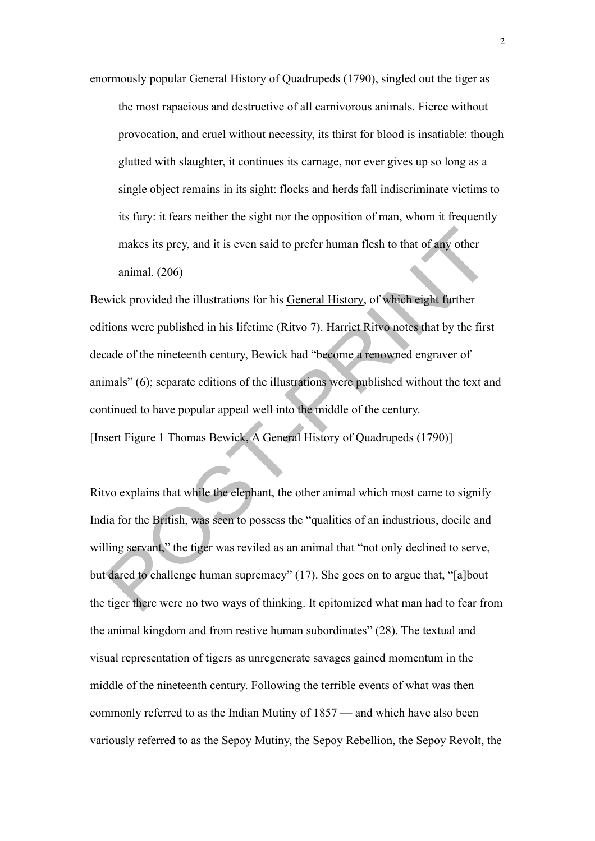enormously popular General History of Quadrupeds (1790), singled out the tiger as the most rapacious and destructive of all carnivorous animals. Fierce without provocation, and cruel without necessity, its thirst for blood is insatiable: though glutted with slaughter, it continues its carnage, nor ever gives up so long as a single object remains in its sight: flocks and herds fall indiscriminate victims to its fury: it fears neither the sight nor the opposition of man, whom it frequently makes its prey, and it is even said to prefer human flesh to that of any other animal. (206)

Bewick provided the illustrations for his General History, of which eight further editions were published in his lifetime (Ritvo 7). Harriet Ritvo notes that by the first decade of the nineteenth century, Bewick had "become a renowned engraver of animals" (6); separate editions of the illustrations were published without the text and continued to have popular appeal well into the middle of the century. [Insert Figure 1 Thomas Bewick, A General History of Quadrupeds (1790)]

Ritvo explains that while the elephant, the other animal which most came to signify India for the British, was seen to possess the "qualities of an industrious, docile and willing servant," the tiger was reviled as an animal that "not only declined to serve, but dared to challenge human supremacy" (17). She goes on to argue that, "[a]bout the tiger there were no two ways of thinking. It epitomized what man had to fear from the animal kingdom and from restive human subordinates" (28). The textual and visual representation of tigers as unregenerate savages gained momentum in the middle of the nineteenth century. Following the terrible events of what was then commonly referred to as the Indian Mutiny of 1857 — and which have also been variously referred to as the Sepoy Mutiny, the Sepoy Rebellion, the Sepoy Revolt, the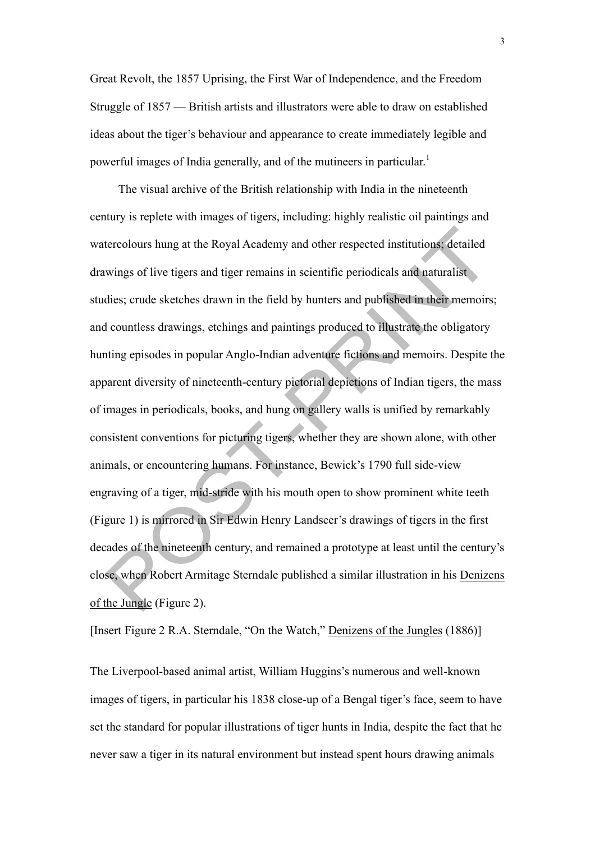Great Revolt, the 1857 Uprising, the First War of Independence, and the Freedom Struggle of 1857 — British artists and illustrators were able to draw on established ideas about the tiger's behaviour and appearance to create immediately legible and powerful images of India generally, and of the mutineers in particular.<sup>1</sup>

The visual archive of the British relationship with India in the nineteenth century is replete with images of tigers, including: highly realistic oil paintings and watercolours hung at the Royal Academy and other respected institutions; detailed drawings of live tigers and tiger remains in scientific periodicals and naturalist studies; crude sketches drawn in the field by hunters and published in their memoirs; and countless drawings, etchings and paintings produced to illustrate the obligatory hunting episodes in popular Anglo-Indian adventure fictions and memoirs. Despite the apparent diversity of nineteenth-century pictorial depictions of Indian tigers, the mass of images in periodicals, books, and hung on gallery walls is unified by remarkably consistent conventions for picturing tigers, whether they are shown alone, with other animals, or encountering humans. For instance, Bewick's 1790 full side-view engraving of a tiger, mid-stride with his mouth open to show prominent white teeth (Figure 1) is mirrored in Sir Edwin Henry Landseer's drawings of tigers in the first decades of the nineteenth century, and remained a prototype at least until the century's close, when Robert Armitage Sterndale published a similar illustration in his Denizens of the Jungle (Figure 2).

[Insert Figure 2 R.A. Sterndale, "On the Watch," Denizens of the Jungles (1886)]

The Liverpool-based animal artist, William Huggins's numerous and well-known images of tigers, in particular his 1838 close-up of a Bengal tiger's face, seem to have set the standard for popular illustrations of tiger hunts in India, despite the fact that he never saw a tiger in its natural environment but instead spent hours drawing animals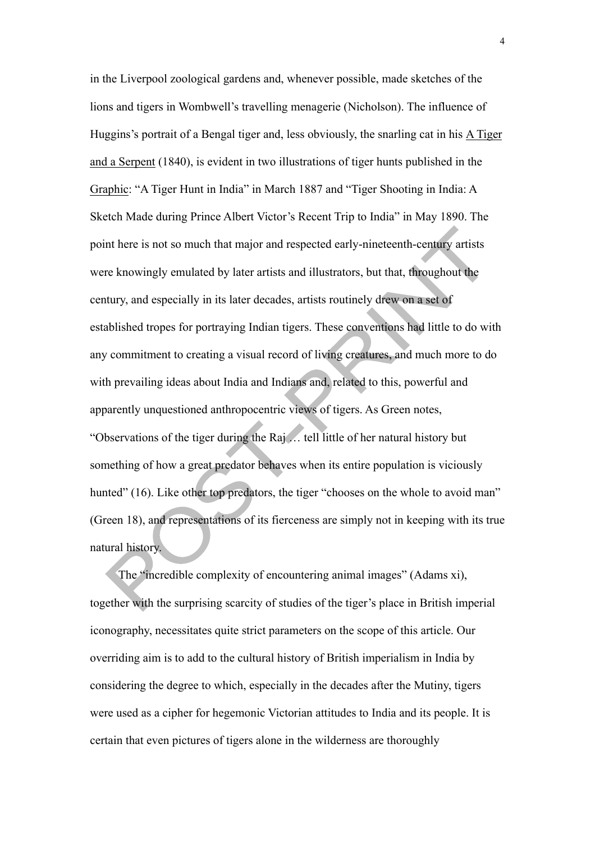in the Liverpool zoological gardens and, whenever possible, made sketches of the lions and tigers in Wombwell's travelling menagerie (Nicholson). The influence of Huggins's portrait of a Bengal tiger and, less obviously, the snarling cat in his A Tiger and a Serpent (1840), is evident in two illustrations of tiger hunts published in the Graphic: "A Tiger Hunt in India" in March 1887 and "Tiger Shooting in India: A Sketch Made during Prince Albert Victor's Recent Trip to India" in May 1890. The point here is not so much that major and respected early-nineteenth-century artists were knowingly emulated by later artists and illustrators, but that, throughout the century, and especially in its later decades, artists routinely drew on a set of established tropes for portraying Indian tigers. These conventions had little to do with any commitment to creating a visual record of living creatures, and much more to do with prevailing ideas about India and Indians and, related to this, powerful and apparently unquestioned anthropocentric views of tigers. As Green notes, "Observations of the tiger during the Raj … tell little of her natural history but something of how a great predator behaves when its entire population is viciously hunted" (16). Like other top predators, the tiger "chooses on the whole to avoid man" (Green 18), and representations of its fierceness are simply not in keeping with its true natural history.

The "incredible complexity of encountering animal images" (Adams xi), together with the surprising scarcity of studies of the tiger's place in British imperial iconography, necessitates quite strict parameters on the scope of this article. Our overriding aim is to add to the cultural history of British imperialism in India by considering the degree to which, especially in the decades after the Mutiny, tigers were used as a cipher for hegemonic Victorian attitudes to India and its people. It is certain that even pictures of tigers alone in the wilderness are thoroughly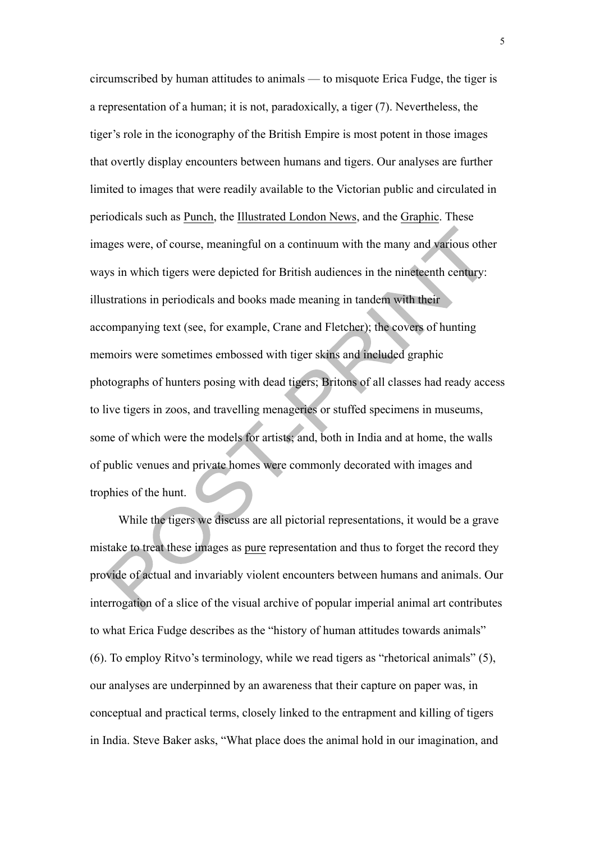circumscribed by human attitudes to animals — to misquote Erica Fudge, the tiger is a representation of a human; it is not, paradoxically, a tiger (7). Nevertheless, the tiger's role in the iconography of the British Empire is most potent in those images that overtly display encounters between humans and tigers. Our analyses are further limited to images that were readily available to the Victorian public and circulated in periodicals such as Punch, the Illustrated London News, and the Graphic. These images were, of course, meaningful on a continuum with the many and various other ways in which tigers were depicted for British audiences in the nineteenth century: illustrations in periodicals and books made meaning in tandem with their accompanying text (see, for example, Crane and Fletcher); the covers of hunting memoirs were sometimes embossed with tiger skins and included graphic photographs of hunters posing with dead tigers; Britons of all classes had ready access to live tigers in zoos, and travelling menageries or stuffed specimens in museums, some of which were the models for artists; and, both in India and at home, the walls of public venues and private homes were commonly decorated with images and trophies of the hunt.

While the tigers we discuss are all pictorial representations, it would be a grave mistake to treat these images as pure representation and thus to forget the record they provide of actual and invariably violent encounters between humans and animals. Our interrogation of a slice of the visual archive of popular imperial animal art contributes to what Erica Fudge describes as the "history of human attitudes towards animals" (6). To employ Ritvo's terminology, while we read tigers as "rhetorical animals" (5), our analyses are underpinned by an awareness that their capture on paper was, in conceptual and practical terms, closely linked to the entrapment and killing of tigers in India. Steve Baker asks, "What place does the animal hold in our imagination, and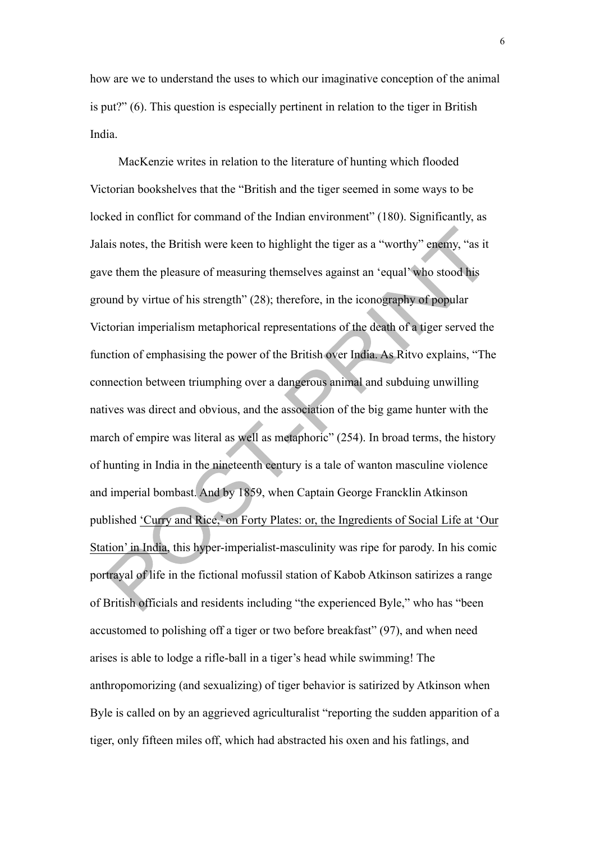how are we to understand the uses to which our imaginative conception of the animal is put?" (6). This question is especially pertinent in relation to the tiger in British India.

MacKenzie writes in relation to the literature of hunting which flooded Victorian bookshelves that the "British and the tiger seemed in some ways to be locked in conflict for command of the Indian environment" (180). Significantly, as Jalais notes, the British were keen to highlight the tiger as a "worthy" enemy, "as it gave them the pleasure of measuring themselves against an 'equal' who stood his ground by virtue of his strength" (28); therefore, in the iconography of popular Victorian imperialism metaphorical representations of the death of a tiger served the function of emphasising the power of the British over India. As Ritvo explains, "The connection between triumphing over a dangerous animal and subduing unwilling natives was direct and obvious, and the association of the big game hunter with the march of empire was literal as well as metaphoric" (254). In broad terms, the history of hunting in India in the nineteenth century is a tale of wanton masculine violence and imperial bombast. And by 1859, when Captain George Francklin Atkinson published 'Curry and Rice,' on Forty Plates: or, the Ingredients of Social Life at 'Our Station' in India, this hyper-imperialist-masculinity was ripe for parody. In his comic portrayal of life in the fictional mofussil station of Kabob Atkinson satirizes a range of British officials and residents including "the experienced Byle," who has "been accustomed to polishing off a tiger or two before breakfast" (97), and when need arises is able to lodge a rifle-ball in a tiger's head while swimming! The anthropomorizing (and sexualizing) of tiger behavior is satirized by Atkinson when Byle is called on by an aggrieved agriculturalist "reporting the sudden apparition of a tiger, only fifteen miles off, which had abstracted his oxen and his fatlings, and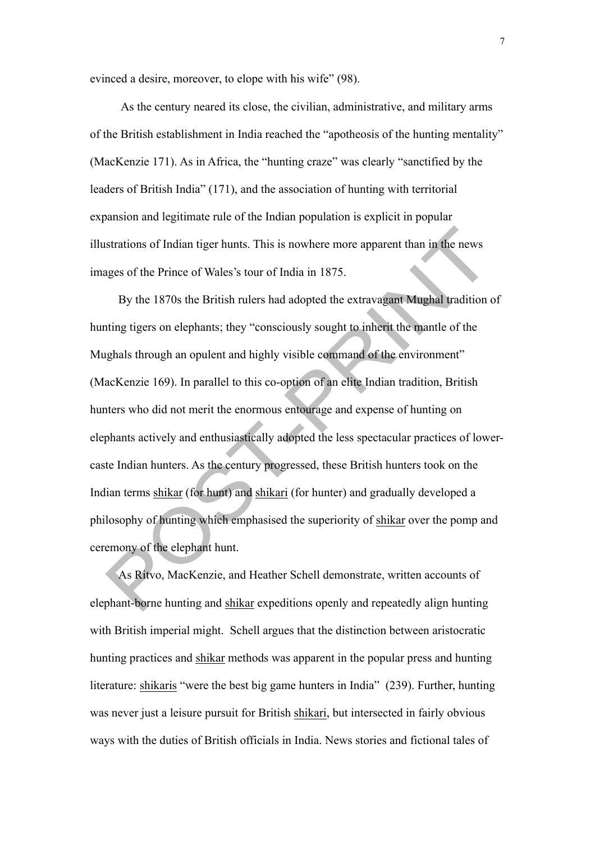evinced a desire, moreover, to elope with his wife" (98).

As the century neared its close, the civilian, administrative, and military arms of the British establishment in India reached the "apotheosis of the hunting mentality" (MacKenzie 171). As in Africa, the "hunting craze" was clearly "sanctified by the leaders of British India" (171), and the association of hunting with territorial expansion and legitimate rule of the Indian population is explicit in popular illustrations of Indian tiger hunts. This is nowhere more apparent than in the news images of the Prince of Wales's tour of India in 1875.

By the 1870s the British rulers had adopted the extravagant Mughal tradition of hunting tigers on elephants; they "consciously sought to inherit the mantle of the Mughals through an opulent and highly visible command of the environment" (MacKenzie 169). In parallel to this co-option of an elite Indian tradition, British hunters who did not merit the enormous entourage and expense of hunting on elephants actively and enthusiastically adopted the less spectacular practices of lowercaste Indian hunters. As the century progressed, these British hunters took on the Indian terms shikar (for hunt) and shikari (for hunter) and gradually developed a philosophy of hunting which emphasised the superiority of shikar over the pomp and ceremony of the elephant hunt.

As Ritvo, MacKenzie, and Heather Schell demonstrate, written accounts of elephant-borne hunting and shikar expeditions openly and repeatedly align hunting with British imperial might. Schell argues that the distinction between aristocratic hunting practices and shikar methods was apparent in the popular press and hunting literature: shikaris "were the best big game hunters in India" (239). Further, hunting was never just a leisure pursuit for British shikari, but intersected in fairly obvious ways with the duties of British officials in India. News stories and fictional tales of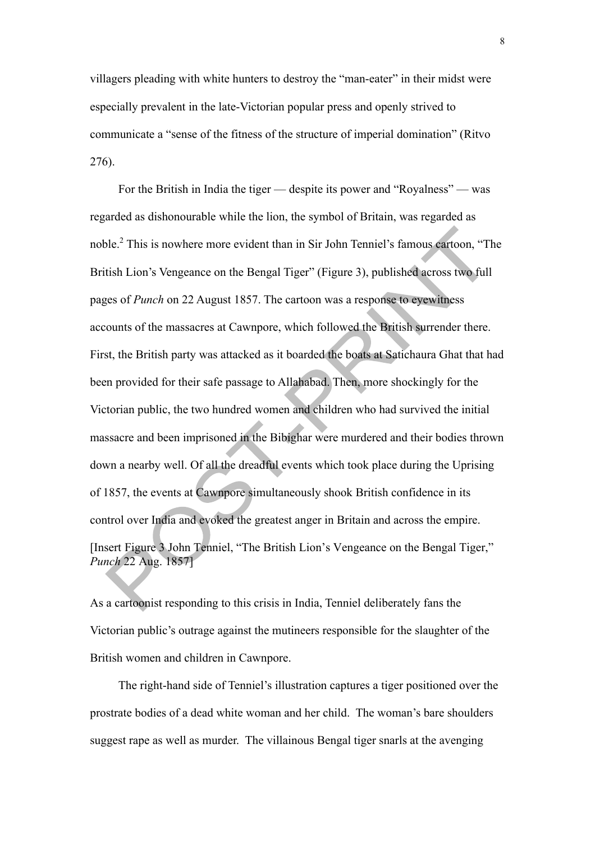villagers pleading with white hunters to destroy the "man-eater" in their midst were especially prevalent in the late-Victorian popular press and openly strived to communicate a "sense of the fitness of the structure of imperial domination" (Ritvo 276).

For the British in India the tiger — despite its power and "Royalness" — was regarded as dishonourable while the lion, the symbol of Britain, was regarded as noble.<sup>2</sup> This is nowhere more evident than in Sir John Tenniel's famous cartoon, "The British Lion's Vengeance on the Bengal Tiger" (Figure 3), published across two full pages of *Punch* on 22 August 1857. The cartoon was a response to eyewitness accounts of the massacres at Cawnpore, which followed the British surrender there. First, the British party was attacked as it boarded the boats at Satichaura Ghat that had been provided for their safe passage to Allahabad. Then, more shockingly for the Victorian public, the two hundred women and children who had survived the initial massacre and been imprisoned in the Bibighar were murdered and their bodies thrown down a nearby well. Of all the dreadful events which took place during the Uprising of 1857, the events at Cawnpore simultaneously shook British confidence in its control over India and evoked the greatest anger in Britain and across the empire. [Insert Figure 3 John Tenniel, "The British Lion's Vengeance on the Bengal Tiger," *Punch* 22 Aug. 1857]

As a cartoonist responding to this crisis in India, Tenniel deliberately fans the Victorian public's outrage against the mutineers responsible for the slaughter of the British women and children in Cawnpore.

The right-hand side of Tenniel's illustration captures a tiger positioned over the prostrate bodies of a dead white woman and her child. The woman's bare shoulders suggest rape as well as murder. The villainous Bengal tiger snarls at the avenging

8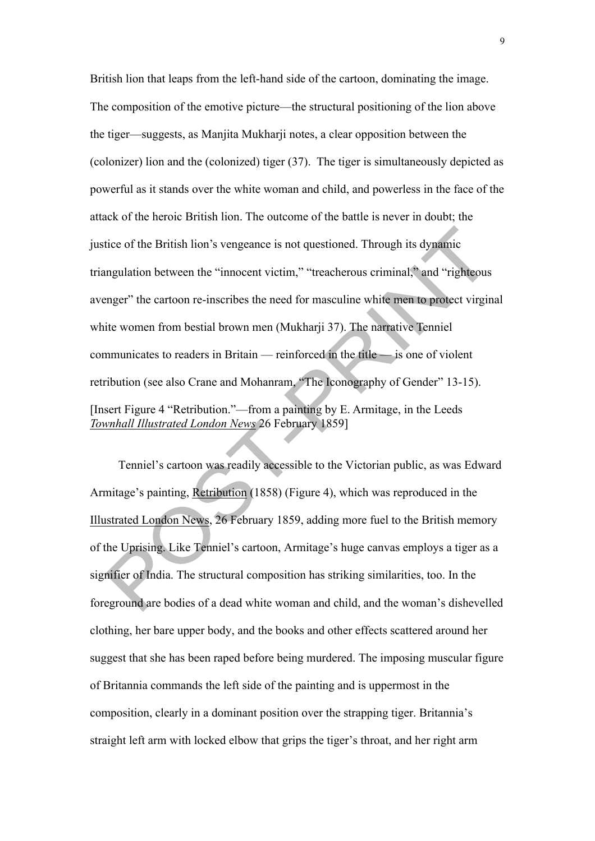British lion that leaps from the left-hand side of the cartoon, dominating the image. The composition of the emotive picture—the structural positioning of the lion above the tiger—suggests, as Manjita Mukharji notes, a clear opposition between the (colonizer) lion and the (colonized) tiger (37). The tiger is simultaneously depicted as powerful as it stands over the white woman and child, and powerless in the face of the attack of the heroic British lion. The outcome of the battle is never in doubt; the justice of the British lion's vengeance is not questioned. Through its dynamic triangulation between the "innocent victim," "treacherous criminal," and "righteous avenger" the cartoon re-inscribes the need for masculine white men to protect virginal white women from bestial brown men (Mukharji 37). The narrative Tenniel communicates to readers in Britain — reinforced in the title — is one of violent retribution (see also Crane and Mohanram, "The Iconography of Gender" 13-15). [Insert Figure 4 "Retribution."—from a painting by E. Armitage, in the Leeds *Townhall Illustrated London News* 26 February 1859]

Tenniel's cartoon was readily accessible to the Victorian public, as was Edward Armitage's painting, Retribution (1858) (Figure 4), which was reproduced in the Illustrated London News, 26 February 1859, adding more fuel to the British memory of the Uprising. Like Tenniel's cartoon, Armitage's huge canvas employs a tiger as a signifier of India. The structural composition has striking similarities, too. In the foreground are bodies of a dead white woman and child, and the woman's dishevelled clothing, her bare upper body, and the books and other effects scattered around her suggest that she has been raped before being murdered. The imposing muscular figure of Britannia commands the left side of the painting and is uppermost in the composition, clearly in a dominant position over the strapping tiger. Britannia's straight left arm with locked elbow that grips the tiger's throat, and her right arm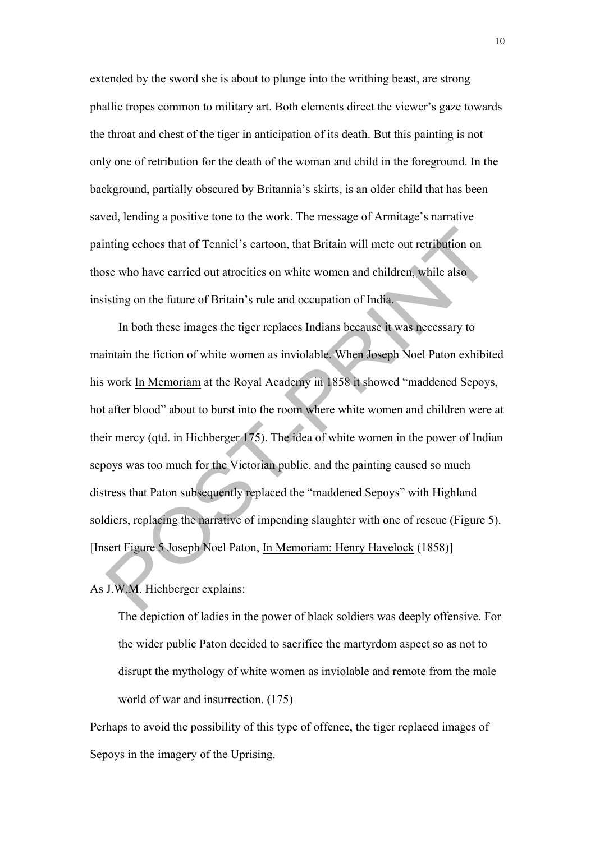extended by the sword she is about to plunge into the writhing beast, are strong phallic tropes common to military art. Both elements direct the viewer's gaze towards the throat and chest of the tiger in anticipation of its death. But this painting is not only one of retribution for the death of the woman and child in the foreground. In the background, partially obscured by Britannia's skirts, is an older child that has been saved, lending a positive tone to the work. The message of Armitage's narrative painting echoes that of Tenniel's cartoon, that Britain will mete out retribution on those who have carried out atrocities on white women and children, while also insisting on the future of Britain's rule and occupation of India.

In both these images the tiger replaces Indians because it was necessary to maintain the fiction of white women as inviolable. When Joseph Noel Paton exhibited his work In Memoriam at the Royal Academy in 1858 it showed "maddened Sepoys, hot after blood" about to burst into the room where white women and children were at their mercy (qtd. in Hichberger 175). The idea of white women in the power of Indian sepoys was too much for the Victorian public, and the painting caused so much distress that Paton subsequently replaced the "maddened Sepoys" with Highland soldiers, replacing the narrative of impending slaughter with one of rescue (Figure 5). [Insert Figure 5 Joseph Noel Paton, In Memoriam: Henry Havelock (1858)]

As J.W.M. Hichberger explains:

The depiction of ladies in the power of black soldiers was deeply offensive. For the wider public Paton decided to sacrifice the martyrdom aspect so as not to disrupt the mythology of white women as inviolable and remote from the male world of war and insurrection. (175)

Perhaps to avoid the possibility of this type of offence, the tiger replaced images of Sepoys in the imagery of the Uprising.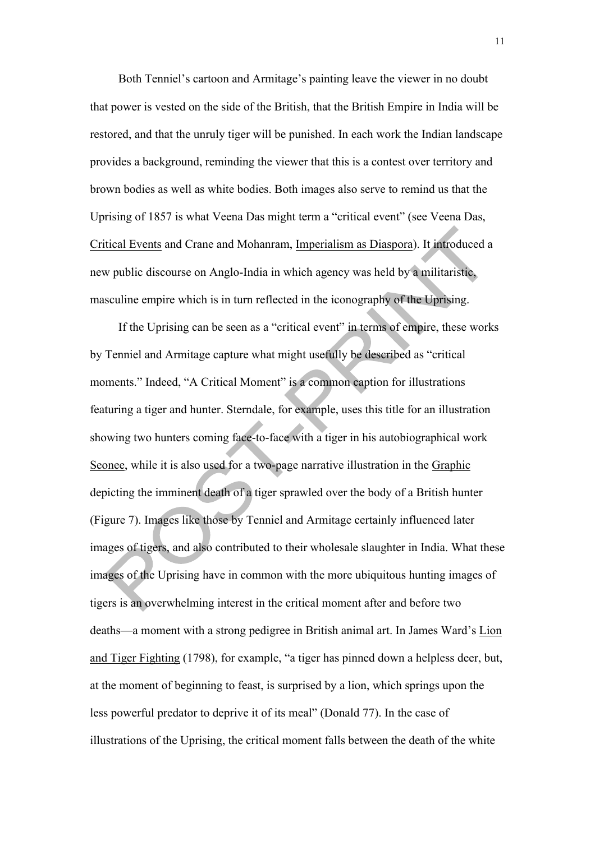Both Tenniel's cartoon and Armitage's painting leave the viewer in no doubt that power is vested on the side of the British, that the British Empire in India will be restored, and that the unruly tiger will be punished. In each work the Indian landscape provides a background, reminding the viewer that this is a contest over territory and brown bodies as well as white bodies. Both images also serve to remind us that the Uprising of 1857 is what Veena Das might term a "critical event" (see Veena Das, Critical Events and Crane and Mohanram, Imperialism as Diaspora). It introduced a new public discourse on Anglo-India in which agency was held by a militaristic, masculine empire which is in turn reflected in the iconography of the Uprising.

If the Uprising can be seen as a "critical event" in terms of empire, these works by Tenniel and Armitage capture what might usefully be described as "critical moments." Indeed, "A Critical Moment" is a common caption for illustrations featuring a tiger and hunter. Sterndale, for example, uses this title for an illustration showing two hunters coming face-to-face with a tiger in his autobiographical work Seonee, while it is also used for a two-page narrative illustration in the Graphic depicting the imminent death of a tiger sprawled over the body of a British hunter (Figure 7). Images like those by Tenniel and Armitage certainly influenced later images of tigers, and also contributed to their wholesale slaughter in India. What these images of the Uprising have in common with the more ubiquitous hunting images of tigers is an overwhelming interest in the critical moment after and before two deaths—a moment with a strong pedigree in British animal art. In James Ward's Lion and Tiger Fighting (1798), for example, "a tiger has pinned down a helpless deer, but, at the moment of beginning to feast, is surprised by a lion, which springs upon the less powerful predator to deprive it of its meal" (Donald 77). In the case of illustrations of the Uprising, the critical moment falls between the death of the white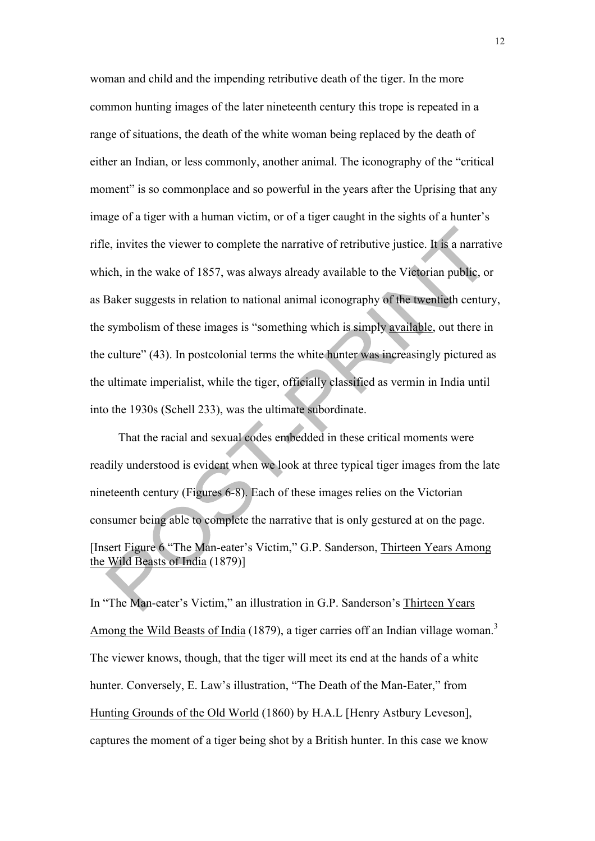woman and child and the impending retributive death of the tiger. In the more common hunting images of the later nineteenth century this trope is repeated in a range of situations, the death of the white woman being replaced by the death of either an Indian, or less commonly, another animal. The iconography of the "critical moment" is so commonplace and so powerful in the years after the Uprising that any image of a tiger with a human victim, or of a tiger caught in the sights of a hunter's rifle, invites the viewer to complete the narrative of retributive justice. It is a narrative which, in the wake of 1857, was always already available to the Victorian public, or as Baker suggests in relation to national animal iconography of the twentieth century, the symbolism of these images is "something which is simply available, out there in the culture" (43). In postcolonial terms the white hunter was increasingly pictured as the ultimate imperialist, while the tiger, officially classified as vermin in India until into the 1930s (Schell 233), was the ultimate subordinate.

That the racial and sexual codes embedded in these critical moments were readily understood is evident when we look at three typical tiger images from the late nineteenth century (Figures 6-8). Each of these images relies on the Victorian consumer being able to complete the narrative that is only gestured at on the page. [Insert Figure 6 "The Man-eater's Victim," G.P. Sanderson, Thirteen Years Among the Wild Beasts of India (1879)]

In "The Man-eater's Victim," an illustration in G.P. Sanderson's Thirteen Years Among the Wild Beasts of India (1879), a tiger carries off an Indian village woman.<sup>3</sup> The viewer knows, though, that the tiger will meet its end at the hands of a white hunter. Conversely, E. Law's illustration, "The Death of the Man-Eater," from Hunting Grounds of the Old World (1860) by H.A.L [Henry Astbury Leveson], captures the moment of a tiger being shot by a British hunter. In this case we know

12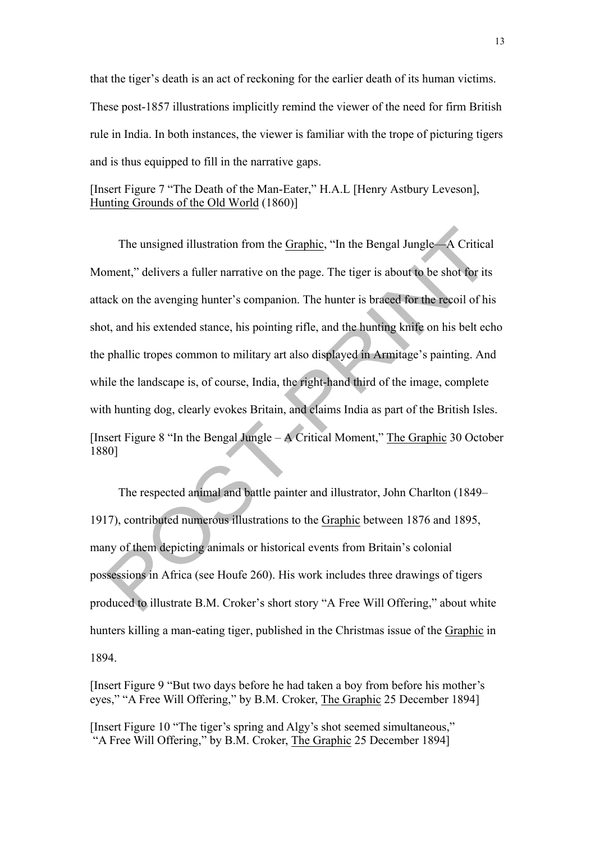that the tiger's death is an act of reckoning for the earlier death of its human victims. These post-1857 illustrations implicitly remind the viewer of the need for firm British rule in India. In both instances, the viewer is familiar with the trope of picturing tigers and is thus equipped to fill in the narrative gaps.

[Insert Figure 7 "The Death of the Man-Eater," H.A.L [Henry Astbury Leveson], Hunting Grounds of the Old World (1860)]

The unsigned illustration from the Graphic, "In the Bengal Jungle—A Critical Moment," delivers a fuller narrative on the page. The tiger is about to be shot for its attack on the avenging hunter's companion. The hunter is braced for the recoil of his shot, and his extended stance, his pointing rifle, and the hunting knife on his belt echo the phallic tropes common to military art also displayed in Armitage's painting. And while the landscape is, of course, India, the right-hand third of the image, complete with hunting dog, clearly evokes Britain, and claims India as part of the British Isles. [Insert Figure 8 "In the Bengal Jungle – A Critical Moment," The Graphic 30 October 1880]

The respected animal and battle painter and illustrator, John Charlton (1849– 1917), contributed numerous illustrations to the Graphic between 1876 and 1895, many of them depicting animals or historical events from Britain's colonial possessions in Africa (see Houfe 260). His work includes three drawings of tigers produced to illustrate B.M. Croker's short story "A Free Will Offering," about white hunters killing a man-eating tiger, published in the Christmas issue of the Graphic in 1894.

[Insert Figure 9 "But two days before he had taken a boy from before his mother's eyes," "A Free Will Offering," by B.M. Croker, The Graphic 25 December 1894]

[Insert Figure 10 "The tiger's spring and Algy's shot seemed simultaneous," "A Free Will Offering," by B.M. Croker, The Graphic 25 December 1894]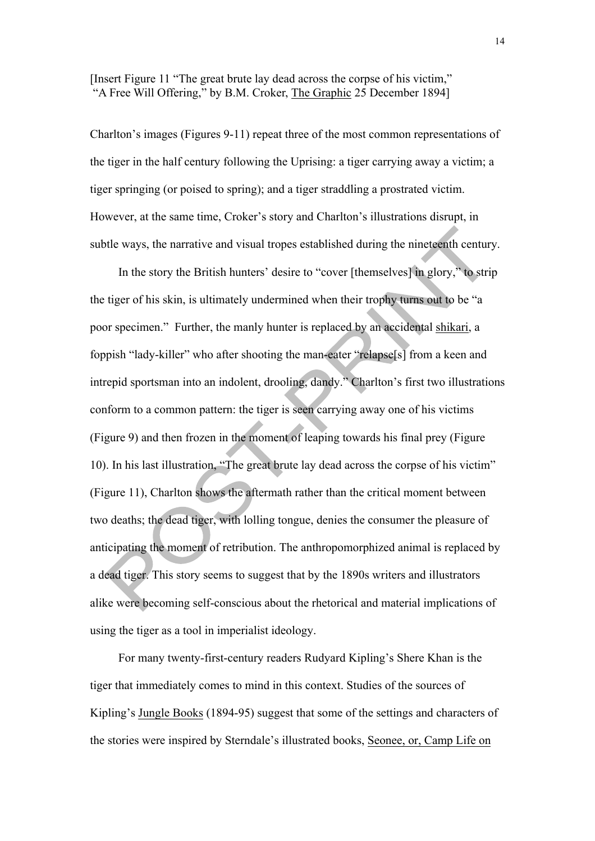[Insert Figure 11 "The great brute lay dead across the corpse of his victim," "A Free Will Offering," by B.M. Croker, The Graphic 25 December 1894]

Charlton's images (Figures 9-11) repeat three of the most common representations of the tiger in the half century following the Uprising: a tiger carrying away a victim; a tiger springing (or poised to spring); and a tiger straddling a prostrated victim. However, at the same time, Croker's story and Charlton's illustrations disrupt, in subtle ways, the narrative and visual tropes established during the nineteenth century.

In the story the British hunters' desire to "cover [themselves] in glory," to strip the tiger of his skin, is ultimately undermined when their trophy turns out to be "a poor specimen." Further, the manly hunter is replaced by an accidental shikari, a foppish "lady-killer" who after shooting the man-eater "relapse[s] from a keen and intrepid sportsman into an indolent, drooling, dandy." Charlton's first two illustrations conform to a common pattern: the tiger is seen carrying away one of his victims (Figure 9) and then frozen in the moment of leaping towards his final prey (Figure 10). In his last illustration, "The great brute lay dead across the corpse of his victim" (Figure 11), Charlton shows the aftermath rather than the critical moment between two deaths; the dead tiger, with lolling tongue, denies the consumer the pleasure of anticipating the moment of retribution. The anthropomorphized animal is replaced by a dead tiger. This story seems to suggest that by the 1890s writers and illustrators alike were becoming self-conscious about the rhetorical and material implications of using the tiger as a tool in imperialist ideology.

For many twenty-first-century readers Rudyard Kipling's Shere Khan is the tiger that immediately comes to mind in this context. Studies of the sources of Kipling's Jungle Books (1894-95) suggest that some of the settings and characters of the stories were inspired by Sterndale's illustrated books, Seonee, or, Camp Life on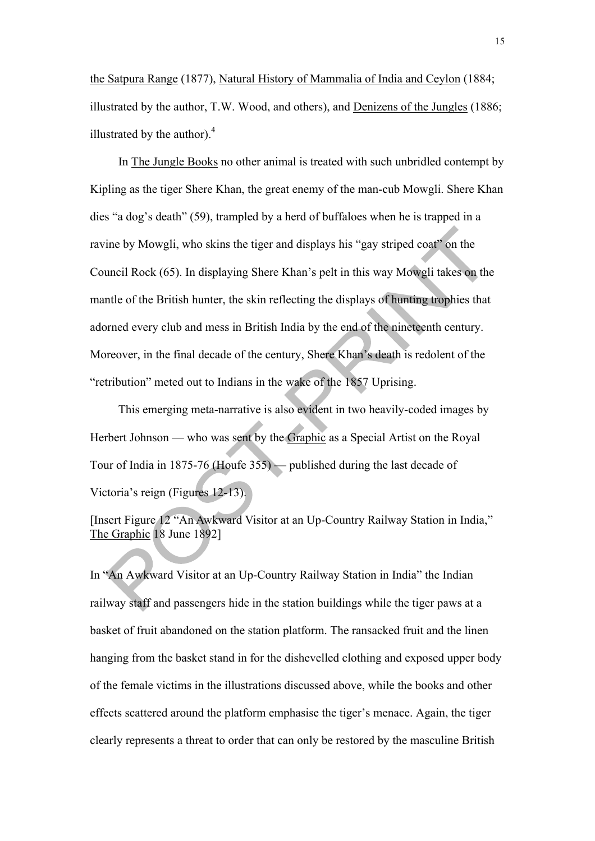the Satpura Range (1877), Natural History of Mammalia of India and Ceylon (1884; illustrated by the author, T.W. Wood, and others), and Denizens of the Jungles (1886; illustrated by the author). $4$ 

In The Jungle Books no other animal is treated with such unbridled contempt by Kipling as the tiger Shere Khan, the great enemy of the man-cub Mowgli. Shere Khan dies "a dog's death" (59), trampled by a herd of buffaloes when he is trapped in a ravine by Mowgli, who skins the tiger and displays his "gay striped coat" on the Council Rock (65). In displaying Shere Khan's pelt in this way Mowgli takes on the mantle of the British hunter, the skin reflecting the displays of hunting trophies that adorned every club and mess in British India by the end of the nineteenth century. Moreover, in the final decade of the century, Shere Khan's death is redolent of the "retribution" meted out to Indians in the wake of the 1857 Uprising.

This emerging meta-narrative is also evident in two heavily-coded images by Herbert Johnson — who was sent by the Graphic as a Special Artist on the Royal Tour of India in 1875-76 (Houfe 355) — published during the last decade of Victoria's reign (Figures 12-13).

[Insert Figure 12 "An Awkward Visitor at an Up-Country Railway Station in India," The Graphic 18 June 1892]

In "An Awkward Visitor at an Up-Country Railway Station in India" the Indian railway staff and passengers hide in the station buildings while the tiger paws at a basket of fruit abandoned on the station platform. The ransacked fruit and the linen hanging from the basket stand in for the dishevelled clothing and exposed upper body of the female victims in the illustrations discussed above, while the books and other effects scattered around the platform emphasise the tiger's menace. Again, the tiger clearly represents a threat to order that can only be restored by the masculine British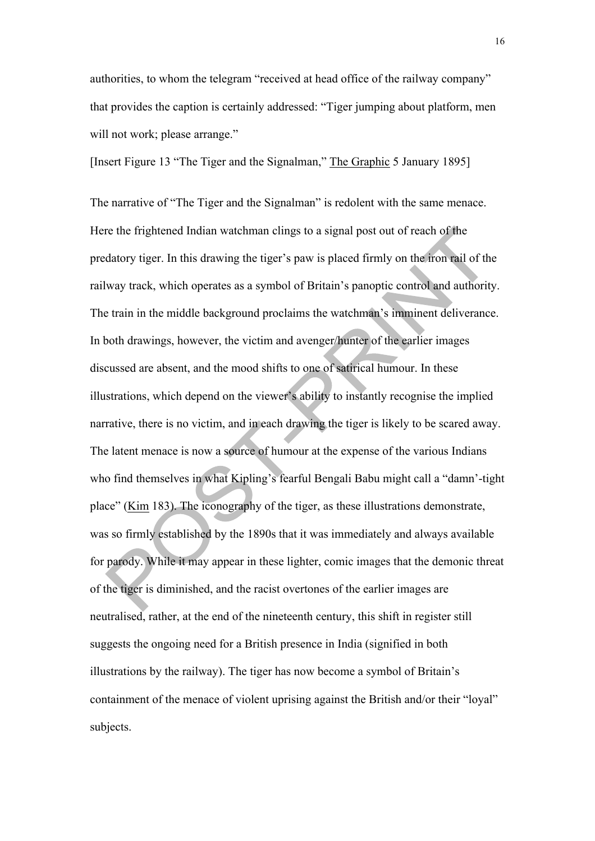authorities, to whom the telegram "received at head office of the railway company" that provides the caption is certainly addressed: "Tiger jumping about platform, men will not work; please arrange."

[Insert Figure 13 "The Tiger and the Signalman," The Graphic 5 January 1895]

The narrative of "The Tiger and the Signalman" is redolent with the same menace. Here the frightened Indian watchman clings to a signal post out of reach of the predatory tiger. In this drawing the tiger's paw is placed firmly on the iron rail of the railway track, which operates as a symbol of Britain's panoptic control and authority. The train in the middle background proclaims the watchman's imminent deliverance. In both drawings, however, the victim and avenger/hunter of the earlier images discussed are absent, and the mood shifts to one of satirical humour. In these illustrations, which depend on the viewer's ability to instantly recognise the implied narrative, there is no victim, and in each drawing the tiger is likely to be scared away. The latent menace is now a source of humour at the expense of the various Indians who find themselves in what Kipling's fearful Bengali Babu might call a "damn'-tight place" (Kim 183). The iconography of the tiger, as these illustrations demonstrate, was so firmly established by the 1890s that it was immediately and always available for parody. While it may appear in these lighter, comic images that the demonic threat of the tiger is diminished, and the racist overtones of the earlier images are neutralised, rather, at the end of the nineteenth century, this shift in register still suggests the ongoing need for a British presence in India (signified in both illustrations by the railway). The tiger has now become a symbol of Britain's containment of the menace of violent uprising against the British and/or their "loyal" subjects.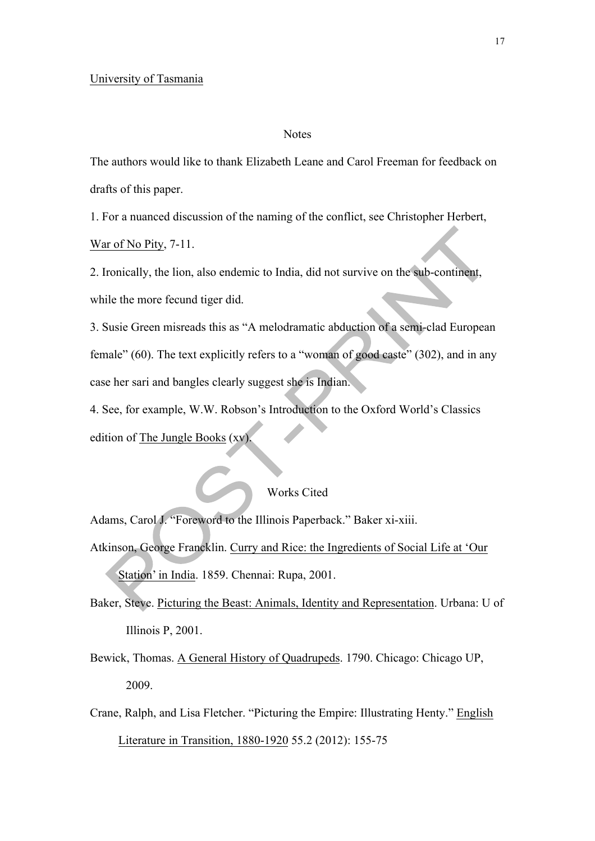## **Notes**

The authors would like to thank Elizabeth Leane and Carol Freeman for feedback on drafts of this paper.

1. For a nuanced discussion of the naming of the conflict, see Christopher Herbert, War of No Pity, 7-11.

2. Ironically, the lion, also endemic to India, did not survive on the sub-continent, while the more fecund tiger did.

3. Susie Green misreads this as "A melodramatic abduction of a semi-clad European female" (60). The text explicitly refers to a "woman of good caste" (302), and in any case her sari and bangles clearly suggest she is Indian.

4. See, for example, W.W. Robson's Introduction to the Oxford World's Classics edition of The Jungle Books (xv).

## Works Cited

Adams, Carol J. "Foreword to the Illinois Paperback." Baker xi-xiii.

- Atkinson, George Francklin. Curry and Rice: the Ingredients of Social Life at 'Our Station' in India. 1859. Chennai: Rupa, 2001.
- Baker, Steve. Picturing the Beast: Animals, Identity and Representation. Urbana: U of Illinois P, 2001.
- Bewick, Thomas. A General History of Quadrupeds. 1790. Chicago: Chicago UP, 2009.
- Crane, Ralph, and Lisa Fletcher. "Picturing the Empire: Illustrating Henty." English Literature in Transition, 1880-1920 55.2 (2012): 155-75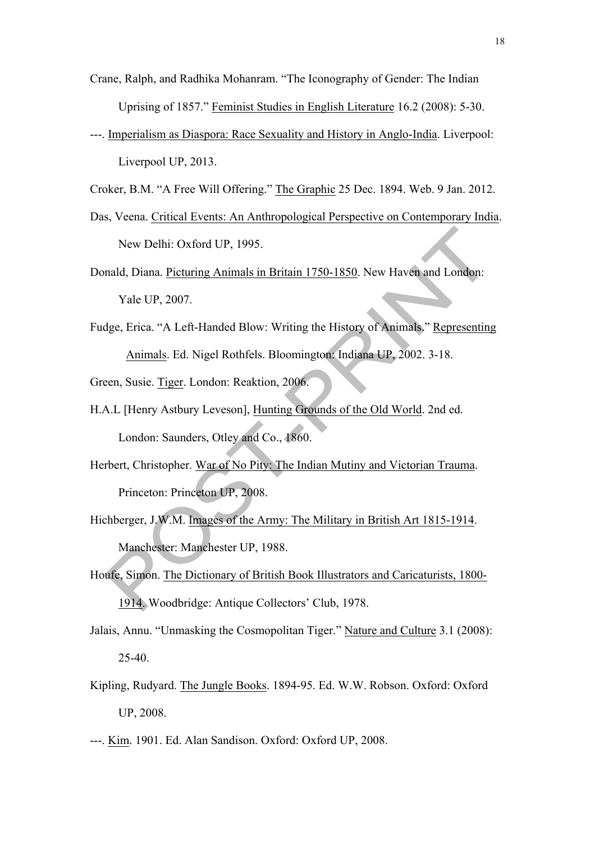- Crane, Ralph, and Radhika Mohanram. "The Iconography of Gender: The Indian Uprising of 1857." Feminist Studies in English Literature 16.2 (2008): 5-30.
- ---. Imperialism as Diaspora: Race Sexuality and History in Anglo-India. Liverpool: Liverpool UP, 2013.

Croker, B.M. "A Free Will Offering." The Graphic 25 Dec. 1894. Web. 9 Jan. 2012.

- Das, Veena. Critical Events: An Anthropological Perspective on Contemporary India. New Delhi: Oxford UP, 1995.
- Donald, Diana. Picturing Animals in Britain 1750-1850. New Haven and London: Yale UP, 2007.
- Fudge, Erica. "A Left-Handed Blow: Writing the History of Animals." Representing Animals. Ed. Nigel Rothfels. Bloomington: Indiana UP, 2002. 3-18.

Green, Susie. Tiger. London: Reaktion, 2006.

- H.A.L [Henry Astbury Leveson], Hunting Grounds of the Old World. 2nd ed. London: Saunders, Otley and Co., 1860.
- Herbert, Christopher. War of No Pity: The Indian Mutiny and Victorian Trauma. Princeton: Princeton UP, 2008.
- Hichberger, J.W.M. Images of the Army: The Military in British Art 1815-1914. Manchester: Manchester UP, 1988.
- Houfe, Simon. The Dictionary of British Book Illustrators and Caricaturists, 1800- 1914. Woodbridge: Antique Collectors' Club, 1978.
- Jalais, Annu. "Unmasking the Cosmopolitan Tiger." Nature and Culture 3.1 (2008): 25-40.
- Kipling, Rudyard. The Jungle Books. 1894-95. Ed. W.W. Robson. Oxford: Oxford UP, 2008.
- ---. Kim. 1901. Ed. Alan Sandison. Oxford: Oxford UP, 2008.